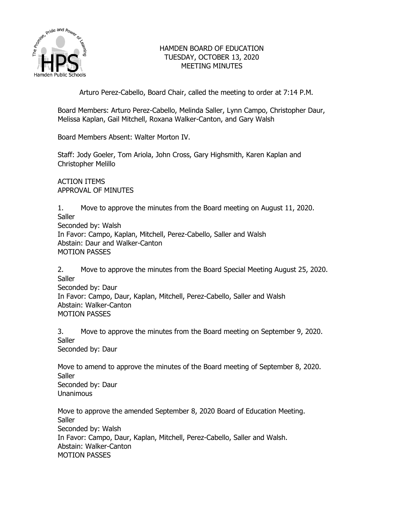

# HAMDEN BOARD OF EDUCATION TUESDAY, OCTOBER 13, 2020 MEETING MINUTES

Arturo Perez-Cabello, Board Chair, called the meeting to order at 7:14 P.M.

Board Members: Arturo Perez-Cabello, Melinda Saller, Lynn Campo, Christopher Daur, Melissa Kaplan, Gail Mitchell, Roxana Walker-Canton, and Gary Walsh

Board Members Absent: Walter Morton IV.

Staff: Jody Goeler, Tom Ariola, John Cross, Gary Highsmith, Karen Kaplan and Christopher Melillo

ACTION ITEMS APPROVAL OF MINUTES

1. Move to approve the minutes from the Board meeting on August 11, 2020. **Saller** Seconded by: Walsh In Favor: Campo, Kaplan, Mitchell, Perez-Cabello, Saller and Walsh Abstain: Daur and Walker-Canton MOTION PASSES

2. Move to approve the minutes from the Board Special Meeting August 25, 2020. **Saller** Seconded by: Daur In Favor: Campo, Daur, Kaplan, Mitchell, Perez-Cabello, Saller and Walsh Abstain: Walker-Canton MOTION PASSES

3. Move to approve the minutes from the Board meeting on September 9, 2020. **Saller** Seconded by: Daur

Move to amend to approve the minutes of the Board meeting of September 8, 2020. **Saller** Seconded by: Daur Unanimous

Move to approve the amended September 8, 2020 Board of Education Meeting. **Saller** Seconded by: Walsh In Favor: Campo, Daur, Kaplan, Mitchell, Perez-Cabello, Saller and Walsh. Abstain: Walker-Canton MOTION PASSES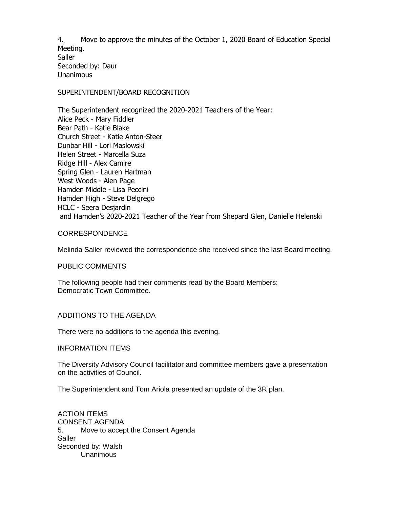4. Move to approve the minutes of the October 1, 2020 Board of Education Special Meeting. **Saller** Seconded by: Daur Unanimous

#### SUPERINTENDENT/BOARD RECOGNITION

The Superintendent recognized the 2020-2021 Teachers of the Year: Alice Peck - Mary Fiddler Bear Path - Katie Blake Church Street - Katie Anton-Steer Dunbar Hill - Lori Maslowski Helen Street - Marcella Suza Ridge Hill - Alex Camire Spring Glen - Lauren Hartman West Woods - Alen Page Hamden Middle - Lisa Peccini Hamden High - Steve Delgrego HCLC - Seera Desjardin and Hamden's 2020-2021 Teacher of the Year from Shepard Glen, Danielle Helenski

## CORRESPONDENCE

Melinda Saller reviewed the correspondence she received since the last Board meeting.

PUBLIC COMMENTS

The following people had their comments read by the Board Members: Democratic Town Committee.

## ADDITIONS TO THE AGENDA

There were no additions to the agenda this evening.

#### INFORMATION ITEMS

The Diversity Advisory Council facilitator and committee members gave a presentation on the activities of Council.

The Superintendent and Tom Ariola presented an update of the 3R plan.

ACTION ITEMS CONSENT AGENDA 5. Move to accept the Consent Agenda **Saller** Seconded by: Walsh **Unanimous**